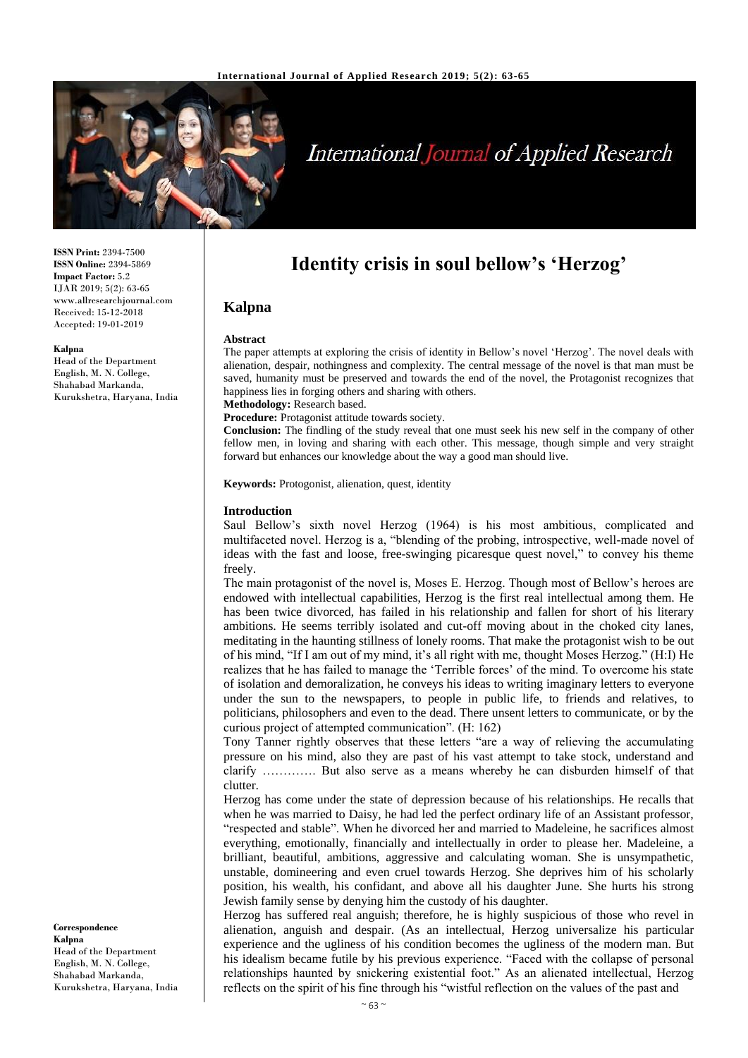

# **International Journal of Applied Research**

**ISSN Print:** 2394-7500 **ISSN Online:** 2394-5869 **Impact Factor:** 5.2 IJAR 2019; 5(2): 63-65 www.allresearchjournal.com Received: 15-12-2018 Accepted: 19-01-2019

#### **Kalpna**

Head of the Department English, M. N. College, Shahabad Markanda, Kurukshetra, Haryana, India **Identity crisis in soul bellow's 'Herzog'**

## **Kalpna**

#### **Abstract**

The paper attempts at exploring the crisis of identity in Bellow's novel 'Herzog'. The novel deals with alienation, despair, nothingness and complexity. The central message of the novel is that man must be saved, humanity must be preserved and towards the end of the novel, the Protagonist recognizes that happiness lies in forging others and sharing with others.

**Methodology:** Research based.

**Procedure:** Protagonist attitude towards society.

**Conclusion:** The findling of the study reveal that one must seek his new self in the company of other fellow men, in loving and sharing with each other. This message, though simple and very straight forward but enhances our knowledge about the way a good man should live.

**Keywords:** Protogonist, alienation, quest, identity

#### **Introduction**

Saul Bellow's sixth novel Herzog (1964) is his most ambitious, complicated and multifaceted novel. Herzog is a, "blending of the probing, introspective, well-made novel of ideas with the fast and loose, free-swinging picaresque quest novel," to convey his theme freely.

The main protagonist of the novel is, Moses E. Herzog. Though most of Bellow's heroes are endowed with intellectual capabilities, Herzog is the first real intellectual among them. He has been twice divorced, has failed in his relationship and fallen for short of his literary ambitions. He seems terribly isolated and cut-off moving about in the choked city lanes, meditating in the haunting stillness of lonely rooms. That make the protagonist wish to be out of his mind, "If I am out of my mind, it's all right with me, thought Moses Herzog." (H:I) He realizes that he has failed to manage the 'Terrible forces' of the mind. To overcome his state of isolation and demoralization, he conveys his ideas to writing imaginary letters to everyone under the sun to the newspapers, to people in public life, to friends and relatives, to politicians, philosophers and even to the dead. There unsent letters to communicate, or by the curious project of attempted communication". (H: 162)

Tony Tanner rightly observes that these letters "are a way of relieving the accumulating pressure on his mind, also they are past of his vast attempt to take stock, understand and clarify …………. But also serve as a means whereby he can disburden himself of that clutter.

Herzog has come under the state of depression because of his relationships. He recalls that when he was married to Daisy, he had led the perfect ordinary life of an Assistant professor, "respected and stable". When he divorced her and married to Madeleine, he sacrifices almost everything, emotionally, financially and intellectually in order to please her. Madeleine, a brilliant, beautiful, ambitions, aggressive and calculating woman. She is unsympathetic, unstable, domineering and even cruel towards Herzog. She deprives him of his scholarly position, his wealth, his confidant, and above all his daughter June. She hurts his strong Jewish family sense by denying him the custody of his daughter.

Herzog has suffered real anguish; therefore, he is highly suspicious of those who revel in alienation, anguish and despair. (As an intellectual, Herzog universalize his particular experience and the ugliness of his condition becomes the ugliness of the modern man. But his idealism became futile by his previous experience. "Faced with the collapse of personal relationships haunted by snickering existential foot." As an alienated intellectual, Herzog reflects on the spirit of his fine through his "wistful reflection on the values of the past and

**Correspondence Kalpna** Head of the Department English, M. N. College, Shahabad Markanda, Kurukshetra, Haryana, India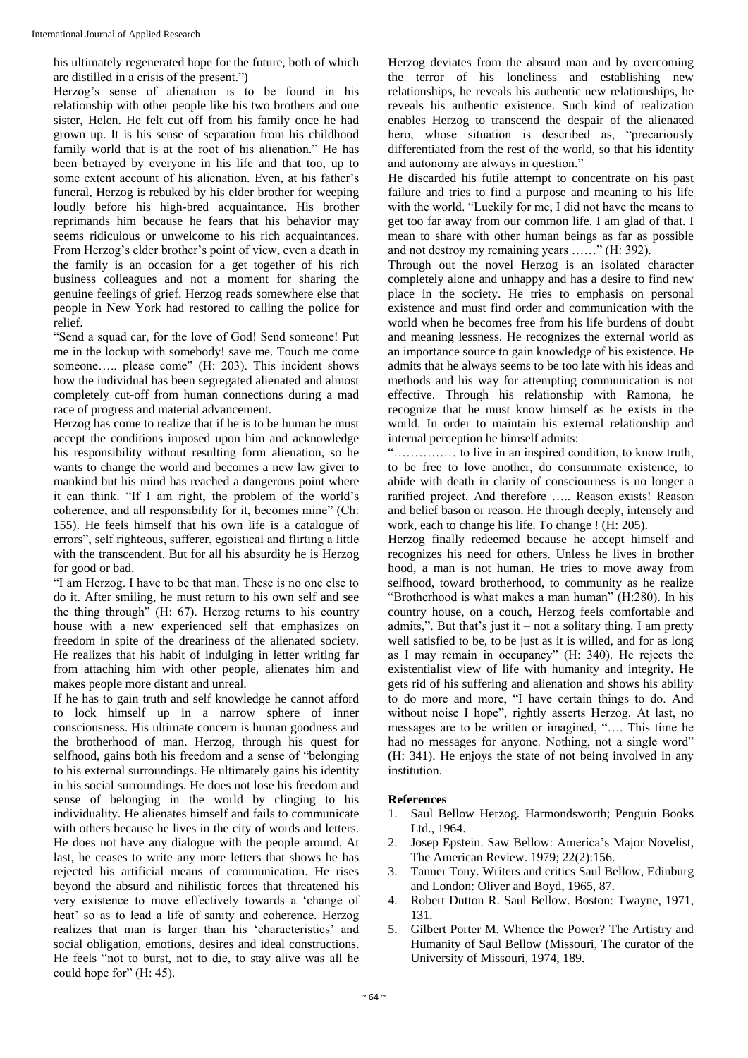his ultimately regenerated hope for the future, both of which are distilled in a crisis of the present.")

Herzog's sense of alienation is to be found in his relationship with other people like his two brothers and one sister, Helen. He felt cut off from his family once he had grown up. It is his sense of separation from his childhood family world that is at the root of his alienation." He has been betrayed by everyone in his life and that too, up to some extent account of his alienation. Even, at his father's funeral, Herzog is rebuked by his elder brother for weeping loudly before his high-bred acquaintance. His brother reprimands him because he fears that his behavior may seems ridiculous or unwelcome to his rich acquaintances. From Herzog's elder brother's point of view, even a death in the family is an occasion for a get together of his rich business colleagues and not a moment for sharing the genuine feelings of grief. Herzog reads somewhere else that people in New York had restored to calling the police for relief.

"Send a squad car, for the love of God! Send someone! Put me in the lockup with somebody! save me. Touch me come someone….. please come" (H: 203). This incident shows how the individual has been segregated alienated and almost completely cut-off from human connections during a mad race of progress and material advancement.

Herzog has come to realize that if he is to be human he must accept the conditions imposed upon him and acknowledge his responsibility without resulting form alienation, so he wants to change the world and becomes a new law giver to mankind but his mind has reached a dangerous point where it can think. "If I am right, the problem of the world's coherence, and all responsibility for it, becomes mine" (Ch: 155). He feels himself that his own life is a catalogue of errors", self righteous, sufferer, egoistical and flirting a little with the transcendent. But for all his absurdity he is Herzog for good or bad.

"I am Herzog. I have to be that man. These is no one else to do it. After smiling, he must return to his own self and see the thing through" (H: 67). Herzog returns to his country house with a new experienced self that emphasizes on freedom in spite of the dreariness of the alienated society. He realizes that his habit of indulging in letter writing far from attaching him with other people, alienates him and makes people more distant and unreal.

If he has to gain truth and self knowledge he cannot afford to lock himself up in a narrow sphere of inner consciousness. His ultimate concern is human goodness and the brotherhood of man. Herzog, through his quest for selfhood, gains both his freedom and a sense of "belonging to his external surroundings. He ultimately gains his identity in his social surroundings. He does not lose his freedom and sense of belonging in the world by clinging to his individuality. He alienates himself and fails to communicate with others because he lives in the city of words and letters. He does not have any dialogue with the people around. At last, he ceases to write any more letters that shows he has rejected his artificial means of communication. He rises beyond the absurd and nihilistic forces that threatened his very existence to move effectively towards a 'change of heat' so as to lead a life of sanity and coherence. Herzog realizes that man is larger than his 'characteristics' and social obligation, emotions, desires and ideal constructions. He feels "not to burst, not to die, to stay alive was all he could hope for" (H: 45).

Herzog deviates from the absurd man and by overcoming the terror of his loneliness and establishing new relationships, he reveals his authentic new relationships, he reveals his authentic existence. Such kind of realization enables Herzog to transcend the despair of the alienated hero, whose situation is described as, "precariously differentiated from the rest of the world, so that his identity and autonomy are always in question."

He discarded his futile attempt to concentrate on his past failure and tries to find a purpose and meaning to his life with the world. "Luckily for me, I did not have the means to get too far away from our common life. I am glad of that. I mean to share with other human beings as far as possible and not destroy my remaining years ……" (H: 392).

Through out the novel Herzog is an isolated character completely alone and unhappy and has a desire to find new place in the society. He tries to emphasis on personal existence and must find order and communication with the world when he becomes free from his life burdens of doubt and meaning lessness. He recognizes the external world as an importance source to gain knowledge of his existence. He admits that he always seems to be too late with his ideas and methods and his way for attempting communication is not effective. Through his relationship with Ramona, he recognize that he must know himself as he exists in the world. In order to maintain his external relationship and internal perception he himself admits:

"…………… to live in an inspired condition, to know truth, to be free to love another, do consummate existence, to abide with death in clarity of consciourness is no longer a rarified project. And therefore ….. Reason exists! Reason and belief bason or reason. He through deeply, intensely and work, each to change his life. To change ! (H: 205).

Herzog finally redeemed because he accept himself and recognizes his need for others. Unless he lives in brother hood, a man is not human. He tries to move away from selfhood, toward brotherhood, to community as he realize "Brotherhood is what makes a man human" (H:280). In his country house, on a couch, Herzog feels comfortable and admits,". But that's just it – not a solitary thing. I am pretty well satisfied to be, to be just as it is willed, and for as long as I may remain in occupancy" (H: 340). He rejects the existentialist view of life with humanity and integrity. He gets rid of his suffering and alienation and shows his ability to do more and more, "I have certain things to do. And without noise I hope", rightly asserts Herzog. At last, no messages are to be written or imagined, "…. This time he had no messages for anyone. Nothing, not a single word" (H: 341). He enjoys the state of not being involved in any institution.

### **References**

- 1. Saul Bellow Herzog. Harmondsworth; Penguin Books Ltd., 1964.
- 2. Josep Epstein. Saw Bellow: America's Major Novelist, The American Review. 1979; 22(2):156.
- 3. Tanner Tony. Writers and critics Saul Bellow, Edinburg and London: Oliver and Boyd, 1965, 87.
- 4. Robert Dutton R. Saul Bellow. Boston: Twayne, 1971, 131.
- 5. Gilbert Porter M. Whence the Power? The Artistry and Humanity of Saul Bellow (Missouri, The curator of the University of Missouri, 1974, 189.